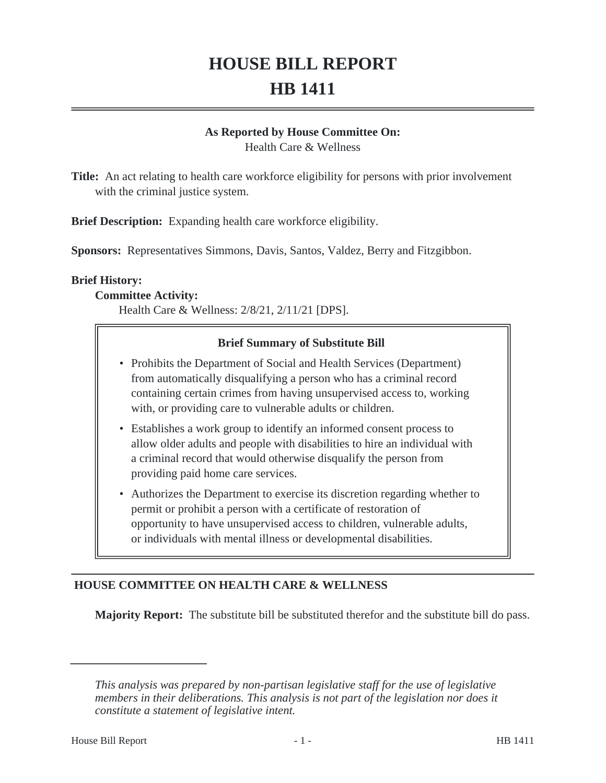# **HOUSE BILL REPORT HB 1411**

#### **As Reported by House Committee On:**

Health Care & Wellness

**Title:** An act relating to health care workforce eligibility for persons with prior involvement with the criminal justice system.

**Brief Description:** Expanding health care workforce eligibility.

**Sponsors:** Representatives Simmons, Davis, Santos, Valdez, Berry and Fitzgibbon.

#### **Brief History:**

#### **Committee Activity:**

Health Care & Wellness: 2/8/21, 2/11/21 [DPS].

# **Brief Summary of Substitute Bill**

- Prohibits the Department of Social and Health Services (Department) from automatically disqualifying a person who has a criminal record containing certain crimes from having unsupervised access to, working with, or providing care to vulnerable adults or children.
- Establishes a work group to identify an informed consent process to allow older adults and people with disabilities to hire an individual with a criminal record that would otherwise disqualify the person from providing paid home care services.
- Authorizes the Department to exercise its discretion regarding whether to permit or prohibit a person with a certificate of restoration of opportunity to have unsupervised access to children, vulnerable adults, or individuals with mental illness or developmental disabilities.

# **HOUSE COMMITTEE ON HEALTH CARE & WELLNESS**

**Majority Report:** The substitute bill be substituted therefor and the substitute bill do pass.

*This analysis was prepared by non-partisan legislative staff for the use of legislative members in their deliberations. This analysis is not part of the legislation nor does it constitute a statement of legislative intent.*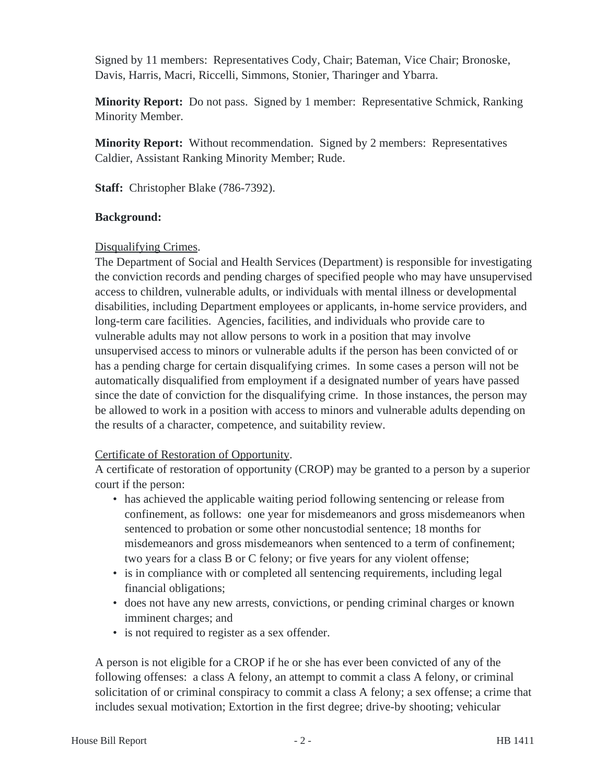Signed by 11 members: Representatives Cody, Chair; Bateman, Vice Chair; Bronoske, Davis, Harris, Macri, Riccelli, Simmons, Stonier, Tharinger and Ybarra.

**Minority Report:** Do not pass. Signed by 1 member: Representative Schmick, Ranking Minority Member.

**Minority Report:** Without recommendation. Signed by 2 members: Representatives Caldier, Assistant Ranking Minority Member; Rude.

**Staff:** Christopher Blake (786-7392).

#### **Background:**

#### Disqualifying Crimes.

The Department of Social and Health Services (Department) is responsible for investigating the conviction records and pending charges of specified people who may have unsupervised access to children, vulnerable adults, or individuals with mental illness or developmental disabilities, including Department employees or applicants, in-home service providers, and long-term care facilities. Agencies, facilities, and individuals who provide care to vulnerable adults may not allow persons to work in a position that may involve unsupervised access to minors or vulnerable adults if the person has been convicted of or has a pending charge for certain disqualifying crimes. In some cases a person will not be automatically disqualified from employment if a designated number of years have passed since the date of conviction for the disqualifying crime. In those instances, the person may be allowed to work in a position with access to minors and vulnerable adults depending on the results of a character, competence, and suitability review.

#### Certificate of Restoration of Opportunity.

A certificate of restoration of opportunity (CROP) may be granted to a person by a superior court if the person:

- has achieved the applicable waiting period following sentencing or release from confinement, as follows: one year for misdemeanors and gross misdemeanors when sentenced to probation or some other noncustodial sentence; 18 months for misdemeanors and gross misdemeanors when sentenced to a term of confinement; two years for a class B or C felony; or five years for any violent offense;
- is in compliance with or completed all sentencing requirements, including legal financial obligations;
- does not have any new arrests, convictions, or pending criminal charges or known imminent charges; and
- is not required to register as a sex offender.

A person is not eligible for a CROP if he or she has ever been convicted of any of the following offenses: a class A felony, an attempt to commit a class A felony, or criminal solicitation of or criminal conspiracy to commit a class A felony; a sex offense; a crime that includes sexual motivation; Extortion in the first degree; drive-by shooting; vehicular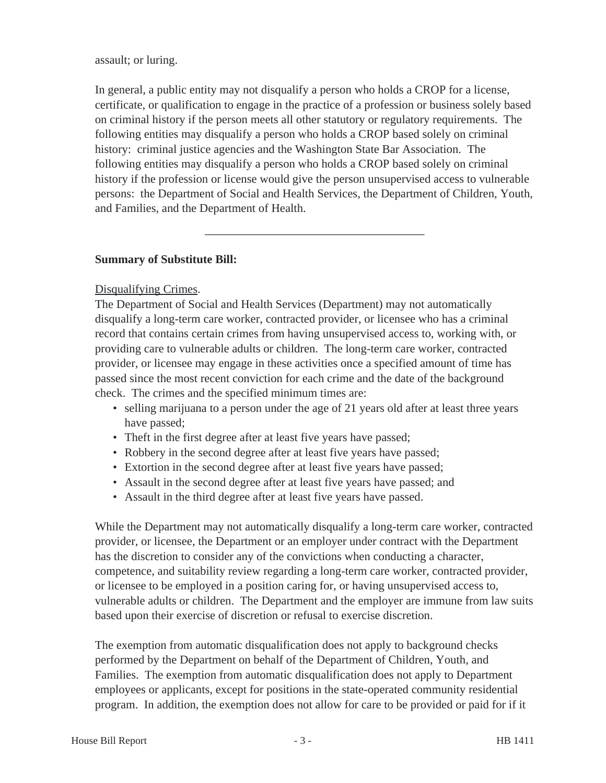#### assault; or luring.

In general, a public entity may not disqualify a person who holds a CROP for a license, certificate, or qualification to engage in the practice of a profession or business solely based on criminal history if the person meets all other statutory or regulatory requirements. The following entities may disqualify a person who holds a CROP based solely on criminal history: criminal justice agencies and the Washington State Bar Association. The following entities may disqualify a person who holds a CROP based solely on criminal history if the profession or license would give the person unsupervised access to vulnerable persons: the Department of Social and Health Services, the Department of Children, Youth, and Families, and the Department of Health.

#### **Summary of Substitute Bill:**

#### Disqualifying Crimes.

The Department of Social and Health Services (Department) may not automatically disqualify a long-term care worker, contracted provider, or licensee who has a criminal record that contains certain crimes from having unsupervised access to, working with, or providing care to vulnerable adults or children. The long-term care worker, contracted provider, or licensee may engage in these activities once a specified amount of time has passed since the most recent conviction for each crime and the date of the background check. The crimes and the specified minimum times are:

- selling marijuana to a person under the age of 21 years old after at least three years have passed;
- Theft in the first degree after at least five years have passed;
- Robbery in the second degree after at least five years have passed;
- Extortion in the second degree after at least five years have passed;
- Assault in the second degree after at least five years have passed; and
- Assault in the third degree after at least five years have passed.

While the Department may not automatically disqualify a long-term care worker, contracted provider, or licensee, the Department or an employer under contract with the Department has the discretion to consider any of the convictions when conducting a character, competence, and suitability review regarding a long-term care worker, contracted provider, or licensee to be employed in a position caring for, or having unsupervised access to, vulnerable adults or children. The Department and the employer are immune from law suits based upon their exercise of discretion or refusal to exercise discretion.

The exemption from automatic disqualification does not apply to background checks performed by the Department on behalf of the Department of Children, Youth, and Families. The exemption from automatic disqualification does not apply to Department employees or applicants, except for positions in the state-operated community residential program. In addition, the exemption does not allow for care to be provided or paid for if it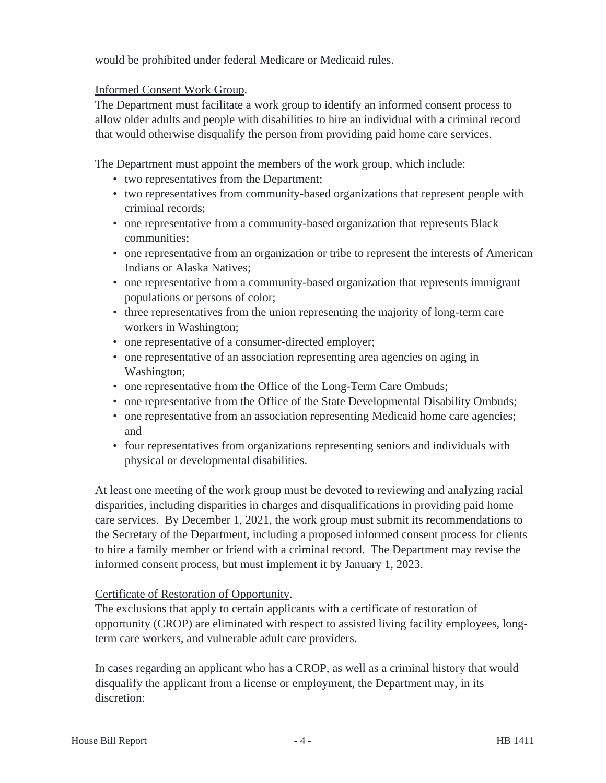would be prohibited under federal Medicare or Medicaid rules.

#### Informed Consent Work Group.

The Department must facilitate a work group to identify an informed consent process to allow older adults and people with disabilities to hire an individual with a criminal record that would otherwise disqualify the person from providing paid home care services.

The Department must appoint the members of the work group, which include:

- two representatives from the Department;
- two representatives from community-based organizations that represent people with criminal records;
- one representative from a community-based organization that represents Black communities;
- one representative from an organization or tribe to represent the interests of American Indians or Alaska Natives;
- one representative from a community-based organization that represents immigrant populations or persons of color;
- three representatives from the union representing the majority of long-term care workers in Washington;
- one representative of a consumer-directed employer;
- one representative of an association representing area agencies on aging in Washington;
- one representative from the Office of the Long-Term Care Ombuds;
- one representative from the Office of the State Developmental Disability Ombuds;
- one representative from an association representing Medicaid home care agencies; and
- four representatives from organizations representing seniors and individuals with physical or developmental disabilities.

At least one meeting of the work group must be devoted to reviewing and analyzing racial disparities, including disparities in charges and disqualifications in providing paid home care services. By December 1, 2021, the work group must submit its recommendations to the Secretary of the Department, including a proposed informed consent process for clients to hire a family member or friend with a criminal record. The Department may revise the informed consent process, but must implement it by January 1, 2023.

# Certificate of Restoration of Opportunity.

The exclusions that apply to certain applicants with a certificate of restoration of opportunity (CROP) are eliminated with respect to assisted living facility employees, longterm care workers, and vulnerable adult care providers.

In cases regarding an applicant who has a CROP, as well as a criminal history that would disqualify the applicant from a license or employment, the Department may, in its discretion: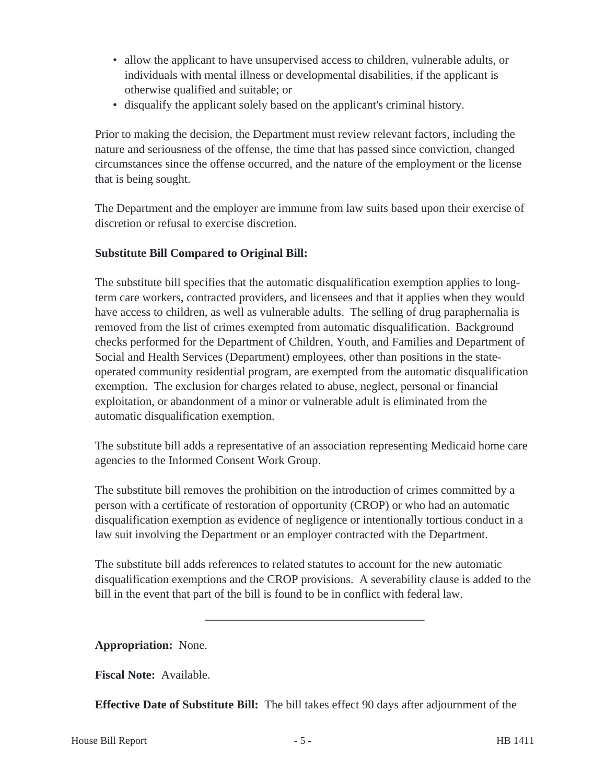- allow the applicant to have unsupervised access to children, vulnerable adults, or individuals with mental illness or developmental disabilities, if the applicant is otherwise qualified and suitable; or
- disqualify the applicant solely based on the applicant's criminal history.

Prior to making the decision, the Department must review relevant factors, including the nature and seriousness of the offense, the time that has passed since conviction, changed circumstances since the offense occurred, and the nature of the employment or the license that is being sought.

The Department and the employer are immune from law suits based upon their exercise of discretion or refusal to exercise discretion.

### **Substitute Bill Compared to Original Bill:**

The substitute bill specifies that the automatic disqualification exemption applies to longterm care workers, contracted providers, and licensees and that it applies when they would have access to children, as well as vulnerable adults. The selling of drug paraphernalia is removed from the list of crimes exempted from automatic disqualification. Background checks performed for the Department of Children, Youth, and Families and Department of Social and Health Services (Department) employees, other than positions in the stateoperated community residential program, are exempted from the automatic disqualification exemption. The exclusion for charges related to abuse, neglect, personal or financial exploitation, or abandonment of a minor or vulnerable adult is eliminated from the automatic disqualification exemption.

The substitute bill adds a representative of an association representing Medicaid home care agencies to the Informed Consent Work Group.

The substitute bill removes the prohibition on the introduction of crimes committed by a person with a certificate of restoration of opportunity (CROP) or who had an automatic disqualification exemption as evidence of negligence or intentionally tortious conduct in a law suit involving the Department or an employer contracted with the Department.

The substitute bill adds references to related statutes to account for the new automatic disqualification exemptions and the CROP provisions. A severability clause is added to the bill in the event that part of the bill is found to be in conflict with federal law.

**Appropriation:** None.

**Fiscal Note:** Available.

**Effective Date of Substitute Bill:** The bill takes effect 90 days after adjournment of the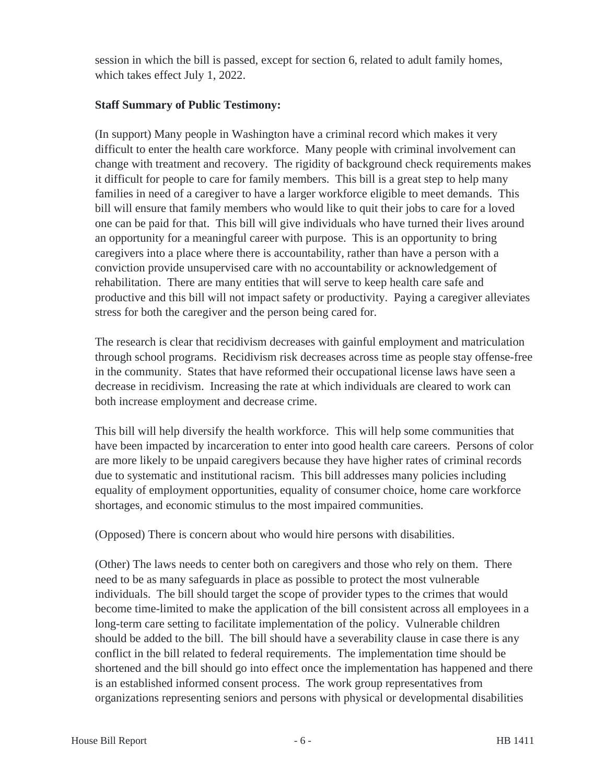session in which the bill is passed, except for section 6, related to adult family homes, which takes effect July 1, 2022.

#### **Staff Summary of Public Testimony:**

(In support) Many people in Washington have a criminal record which makes it very difficult to enter the health care workforce. Many people with criminal involvement can change with treatment and recovery. The rigidity of background check requirements makes it difficult for people to care for family members. This bill is a great step to help many families in need of a caregiver to have a larger workforce eligible to meet demands. This bill will ensure that family members who would like to quit their jobs to care for a loved one can be paid for that. This bill will give individuals who have turned their lives around an opportunity for a meaningful career with purpose. This is an opportunity to bring caregivers into a place where there is accountability, rather than have a person with a conviction provide unsupervised care with no accountability or acknowledgement of rehabilitation. There are many entities that will serve to keep health care safe and productive and this bill will not impact safety or productivity. Paying a caregiver alleviates stress for both the caregiver and the person being cared for.

The research is clear that recidivism decreases with gainful employment and matriculation through school programs. Recidivism risk decreases across time as people stay offense-free in the community. States that have reformed their occupational license laws have seen a decrease in recidivism. Increasing the rate at which individuals are cleared to work can both increase employment and decrease crime.

This bill will help diversify the health workforce. This will help some communities that have been impacted by incarceration to enter into good health care careers. Persons of color are more likely to be unpaid caregivers because they have higher rates of criminal records due to systematic and institutional racism. This bill addresses many policies including equality of employment opportunities, equality of consumer choice, home care workforce shortages, and economic stimulus to the most impaired communities.

(Opposed) There is concern about who would hire persons with disabilities.

(Other) The laws needs to center both on caregivers and those who rely on them. There need to be as many safeguards in place as possible to protect the most vulnerable individuals. The bill should target the scope of provider types to the crimes that would become time-limited to make the application of the bill consistent across all employees in a long-term care setting to facilitate implementation of the policy. Vulnerable children should be added to the bill. The bill should have a severability clause in case there is any conflict in the bill related to federal requirements. The implementation time should be shortened and the bill should go into effect once the implementation has happened and there is an established informed consent process. The work group representatives from organizations representing seniors and persons with physical or developmental disabilities